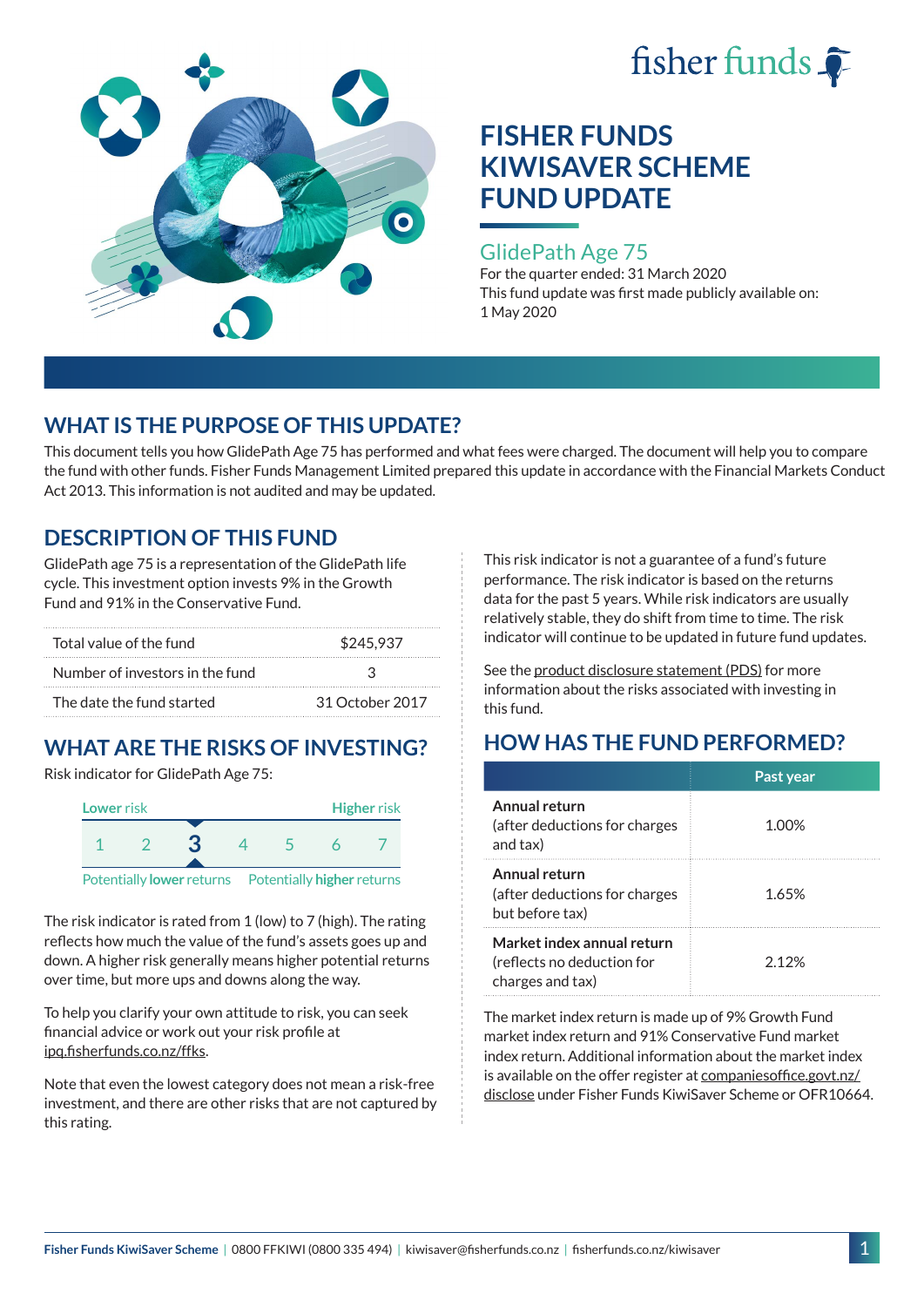



#### GlidePath Age 75

For the quarter ended: 31 March 2020 This fund update was first made publicly available on: 1 May 2020

## **WHAT IS THE PURPOSE OF THIS UPDATE?**

This document tells you how GlidePath Age 75 has performed and what fees were charged. The document will help you to compare the fund with other funds. Fisher Funds Management Limited prepared this update in accordance with the Financial Markets Conduct Act 2013. This information is not audited and may be updated.

## **DESCRIPTION OF THIS FUND**

GlidePath age 75 is a representation of the GlidePath life cycle. This investment option invests 9% in the Growth Fund and 91% in the Conservative Fund.

| Total value of the fund         | \$245.937       |  |  |
|---------------------------------|-----------------|--|--|
| Number of investors in the fund | 2               |  |  |
| The date the fund started       | 31 October 2017 |  |  |

# **WHAT ARE THE RISKS OF INVESTING?**

Risk indicator for GlidePath Age 75:



Potentially **lower** returns Potentially **higher** returns

The risk indicator is rated from 1 (low) to 7 (high). The rating reflects how much the value of the fund's assets goes up and down. A higher risk generally means higher potential returns over time, but more ups and downs along the way.

To help you clarify your own attitude to risk, you can seek financial advice or work out your risk profile at [ipq.fisherfunds.co.nz/ffks](https://ipq.fisherfunds.co.nz/ffks).

Note that even the lowest category does not mean a risk-free investment, and there are other risks that are not captured by this rating.

This risk indicator is not a guarantee of a fund's future performance. The risk indicator is based on the returns data for the past 5 years. While risk indicators are usually relatively stable, they do shift from time to time. The risk indicator will continue to be updated in future fund updates.

See the [product disclosure statement \(PDS\)](https://fisherfunds.co.nz/assets/PDS/Fisher-Funds-KiwiSaver-Scheme-PDS.pdf) for more information about the risks associated with investing in this fund.

## **HOW HAS THE FUND PERFORMED?**

|                                                                              | Past year |
|------------------------------------------------------------------------------|-----------|
| Annual return<br>(after deductions for charges<br>and tax)                   | 1.00%     |
| Annual return<br>(after deductions for charges<br>but before tax)            | 1.65%     |
| Market index annual return<br>(reflects no deduction for<br>charges and tax) | 2 1 2 %   |

The market index return is made up of 9% Growth Fund market index return and 91% Conservative Fund market index return. Additional information about the market index is available on the offer register at [companiesoffice.govt.nz/](http://companiesoffice.govt.nz/disclose) [disclose](http://companiesoffice.govt.nz/disclose) under Fisher Funds KiwiSaver Scheme or OFR10664.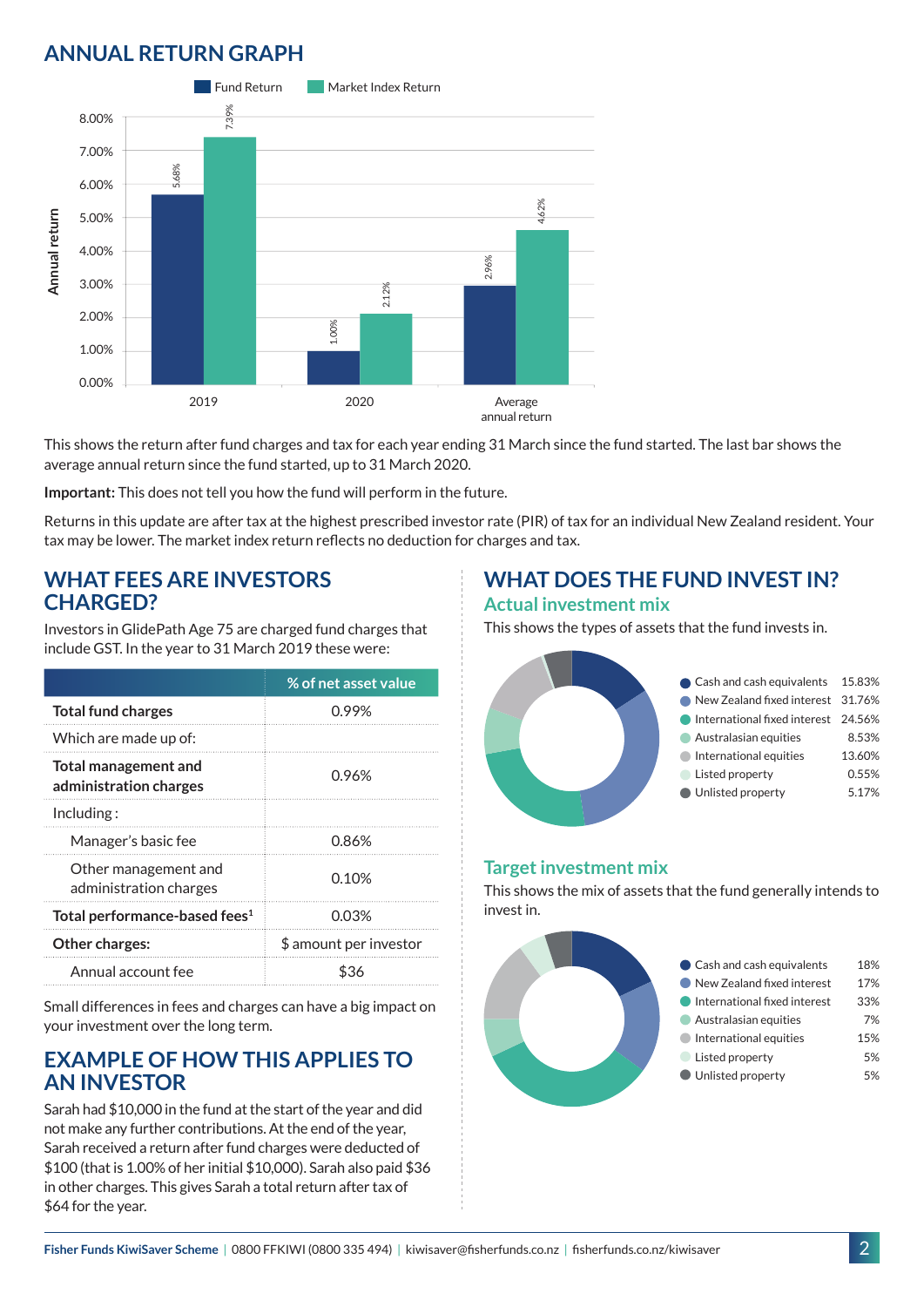## **ANNUAL RETURN GRAPH**



This shows the return after fund charges and tax for each year ending 31 March since the fund started. The last bar shows the average annual return since the fund started, up to 31 March 2020.

**Important:** This does not tell you how the fund will perform in the future.

Returns in this update are after tax at the highest prescribed investor rate (PIR) of tax for an individual New Zealand resident. Your tax may be lower. The market index return reflects no deduction for charges and tax.

#### **WHAT FEES ARE INVESTORS CHARGED?**

Investors in GlidePath Age 75 are charged fund charges that include GST. In the year to 31 March 2019 these were:

|                                                | % of net asset value   |
|------------------------------------------------|------------------------|
| <b>Total fund charges</b>                      | 0.99%                  |
| Which are made up of:                          |                        |
| Total management and<br>administration charges | 0.96%                  |
| Including:                                     |                        |
| Manager's basic fee                            | 0.86%                  |
| Other management and<br>administration charges | 0.10%                  |
| Total performance-based fees <sup>1</sup>      | 0.03%                  |
| Other charges:                                 | \$ amount per investor |
| Annual account fee                             | ፍ36                    |

Small differences in fees and charges can have a big impact on your investment over the long term.

### **EXAMPLE OF HOW THIS APPLIES TO AN INVESTOR**

Sarah had \$10,000 in the fund at the start of the year and did not make any further contributions. At the end of the year, Sarah received a return after fund charges were deducted of \$100 (that is 1.00% of her initial \$10,000). Sarah also paid \$36 in other charges. This gives Sarah a total return after tax of \$64 for the year.

### **WHAT DOES THE FUND INVEST IN? Actual investment mix**

This shows the types of assets that the fund invests in.



#### **Target investment mix**

This shows the mix of assets that the fund generally intends to invest in.